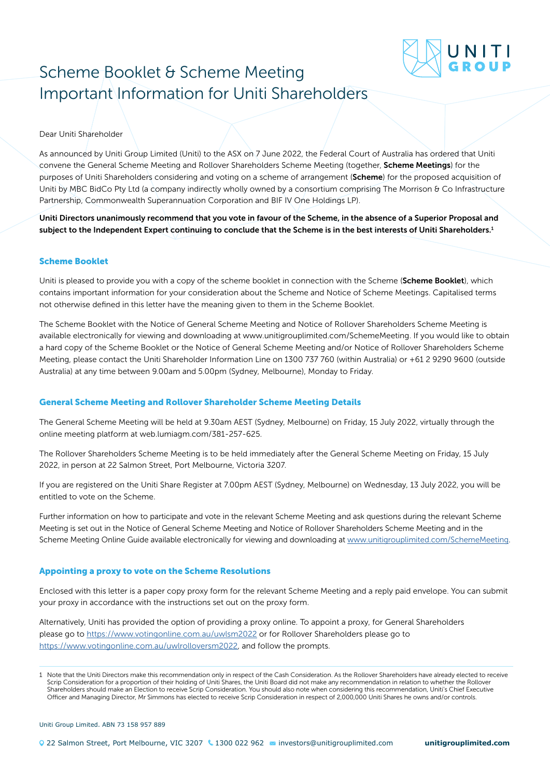# Scheme Booklet & Scheme Meeting Important Information for Uniti Shareholders

### Dear Uniti Shareholder

As announced by Uniti Group Limited (Uniti) to the ASX on 7 June 2022, the Federal Court of Australia has ordered that Uniti convene the General Scheme Meeting and Rollover Shareholders Scheme Meeting (together, Scheme Meetings) for the purposes of Uniti Shareholders considering and voting on a scheme of arrangement (Scheme) for the proposed acquisition of Uniti by MBC BidCo Pty Ltd (a company indirectly wholly owned by a consortium comprising The Morrison & Co Infrastructure Partnership, Commonwealth Superannuation Corporation and BIF IV One Holdings LP).

Uniti Directors unanimously recommend that you vote in favour of the Scheme, in the absence of a Superior Proposal and subject to the Independent Expert continuing to conclude that the Scheme is in the best interests of Uniti Shareholders.<sup>1</sup>

#### Scheme Booklet

Uniti is pleased to provide you with a copy of the scheme booklet in connection with the Scheme (Scheme Booklet), which contains important information for your consideration about the Scheme and Notice of Scheme Meetings. Capitalised terms not otherwise defined in this letter have the meaning given to them in the Scheme Booklet.

The Scheme Booklet with the Notice of General Scheme Meeting and Notice of Rollover Shareholders Scheme Meeting is available electronically for viewing and downloading at www.unitigrouplimited.com/SchemeMeeting. If you would like to obtain a hard copy of the Scheme Booklet or the Notice of General Scheme Meeting and/or Notice of Rollover Shareholders Scheme Meeting, please contact the Uniti Shareholder Information Line on 1300 737 760 (within Australia) or +61 2 9290 9600 (outside Australia) at any time between 9.00am and 5.00pm (Sydney, Melbourne), Monday to Friday.

## General Scheme Meeting and Rollover Shareholder Scheme Meeting Details

The General Scheme Meeting will be held at 9.30am AEST (Sydney, Melbourne) on Friday, 15 July 2022, virtually through the online meeting platform at web.lumiagm.com/381-257-625.

The Rollover Shareholders Scheme Meeting is to be held immediately after the General Scheme Meeting on Friday, 15 July 2022, in person at 22 Salmon Street, Port Melbourne, Victoria 3207.

If you are registered on the Uniti Share Register at 7.00pm AEST (Sydney, Melbourne) on Wednesday, 13 July 2022, you will be entitled to vote on the Scheme.

Further information on how to participate and vote in the relevant Scheme Meeting and ask questions during the relevant Scheme Meeting is set out in the Notice of General Scheme Meeting and Notice of Rollover Shareholders Scheme Meeting and in the Scheme Meeting Online Guide available electronically for viewing and downloading at [www.unitigrouplimited.com/SchemeMeeting.](http://www.unitigrouplimited.com/SchemeMeeting)

#### Appointing a proxy to vote on the Scheme Resolutions

Enclosed with this letter is a paper copy proxy form for the relevant Scheme Meeting and a reply paid envelope. You can submit your proxy in accordance with the instructions set out on the proxy form.

Alternatively, Uniti has provided the option of providing a proxy online. To appoint a proxy, for General Shareholders please go to <https://www.votingonline.com.au/uwlsm2022> or for Rollover Shareholders please go to <https://www.votingonline.com.au/uwlrolloversm2022>, and follow the prompts.

Uniti Group Limited. ABN 73 158 957 889

<sup>1</sup> Note that the Uniti Directors make this recommendation only in respect of the Cash Consideration. As the Rollover Shareholders have already elected to receive Scrip Consideration for a proportion of their holding of Uniti Shares, the Uniti Board did not make any recommendation in relation to whether the Rollover Shareholders should make an Election to receive Scrip Consideration. You should also note when considering this recommendation, Uniti's Chief Executive Officer and Managing Director, Mr Simmons has elected to receive Scrip Consideration in respect of 2,000,000 Uniti Shares he owns and/or controls.